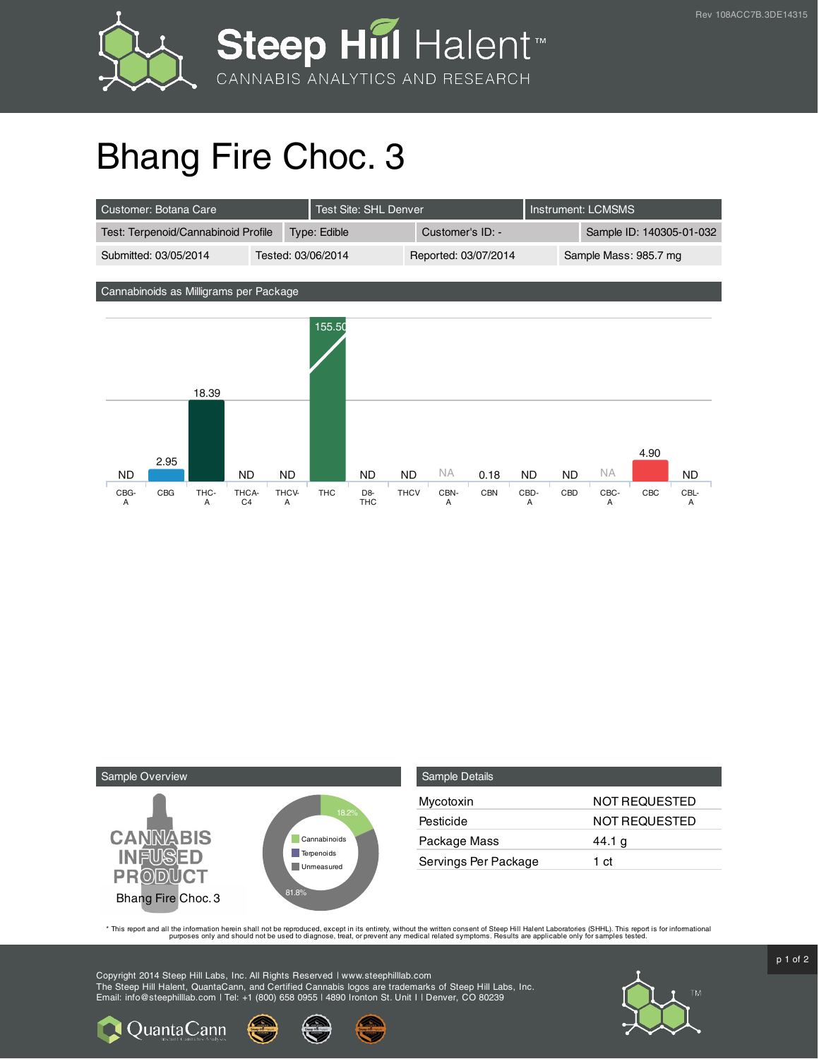

## Bhang Fire Choc. 3

| Customer: Botana Care               |                    | Test Site: SHL Denver |  |                      | LInstrument: LCMSMS |                          |
|-------------------------------------|--------------------|-----------------------|--|----------------------|---------------------|--------------------------|
| Test: Terpenoid/Cannabinoid Profile |                    | Type: Edible          |  | Customer's ID: -     |                     | Sample ID: 140305-01-032 |
| Submitted: 03/05/2014               | Tested: 03/06/2014 |                       |  | Reported: 03/07/2014 |                     | Sample Mass: 985.7 mg    |

Cannabinoids as Milligrams per Package





**Q** Quanta Cann

| <b>Sample Details</b> |               |
|-----------------------|---------------|
| Mycotoxin             | NOT REQUESTED |
| Pesticide             | NOT REQUESTED |
| Package Mass          | 44.1 $g$      |
| Servings Per Package  | 1 ct          |

This report and all the information herein shall not be reporduced, except in its entirety, without the written consent of Steep Hill Halent Laboratories (SHHL). This report is for informational all the instance, treat, or

Copyright 2014 Steep Hill Labs, Inc. All Rights Reserved | www.steephilllab.com The Steep Hill Halent, QuantaCann, and Certified Cannabis logos are trademarks of Steep Hill Labs, Inc. Email: info@steephilllab.com | Tel: +1 (800) 658 0955 | 4890 Ironton St. Unit I | Denver, CO 80239



 $p$  1 of 2